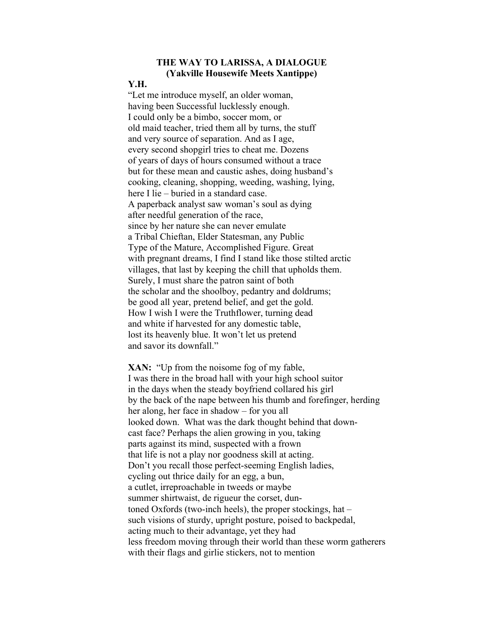## THE WAY TO LARISSA, A DIALOGUE (Yakville Housewife Meets Xantippe)

## Y.H.

"Let me introduce myself, an older woman, having been Successful lucklessly enough. I could only be a bimbo, soccer mom, or old maid teacher, tried them all by turns, the stuff and very source of separation. And as I age, every second shopgirl tries to cheat me. Dozens of years of days of hours consumed without a trace but for these mean and caustic ashes, doing husband's cooking, cleaning, shopping, weeding, washing, lying, here I lie – buried in a standard case. A paperback analyst saw woman's soul as dying after needful generation of the race, since by her nature she can never emulate a Tribal Chieftan, Elder Statesman, any Public Type of the Mature, Accomplished Figure. Great with pregnant dreams, I find I stand like those stilted arctic villages, that last by keeping the chill that upholds them. Surely, I must share the patron saint of both the scholar and the shoolboy, pedantry and doldrums; be good all year, pretend belief, and get the gold. How I wish I were the Truthflower, turning dead and white if harvested for any domestic table, lost its heavenly blue. It won't let us pretend and savor its downfall."

XAN: "Up from the noisome fog of my fable, I was there in the broad hall with your high school suitor in the days when the steady boyfriend collared his girl by the back of the nape between his thumb and forefinger, herding her along, her face in shadow – for you all looked down. What was the dark thought behind that downcast face? Perhaps the alien growing in you, taking parts against its mind, suspected with a frown that life is not a play nor goodness skill at acting. Don't you recall those perfect-seeming English ladies, cycling out thrice daily for an egg, a bun, a cutlet, irreproachable in tweeds or maybe summer shirtwaist, de rigueur the corset, duntoned Oxfords (two-inch heels), the proper stockings, hat – such visions of sturdy, upright posture, poised to backpedal, acting much to their advantage, yet they had less freedom moving through their world than these worm gatherers with their flags and girlie stickers, not to mention